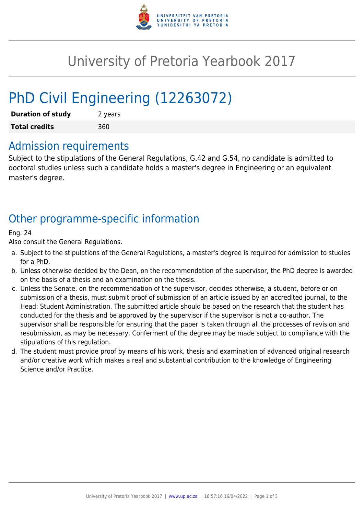

# University of Pretoria Yearbook 2017

# PhD Civil Engineering (12263072)

| <b>Duration of study</b> | 2 years |
|--------------------------|---------|
| <b>Total credits</b>     | 360     |

### Admission requirements

Subject to the stipulations of the General Regulations, G.42 and G.54, no candidate is admitted to doctoral studies unless such a candidate holds a master's degree in Engineering or an equivalent master's degree.

## Other programme-specific information

#### Eng. 24

Also consult the General Regulations.

- a. Subject to the stipulations of the General Regulations, a master's degree is required for admission to studies for a PhD.
- b. Unless otherwise decided by the Dean, on the recommendation of the supervisor, the PhD degree is awarded on the basis of a thesis and an examination on the thesis.
- c. Unless the Senate, on the recommendation of the supervisor, decides otherwise, a student, before or on submission of a thesis, must submit proof of submission of an article issued by an accredited journal, to the Head: Student Administration. The submitted article should be based on the research that the student has conducted for the thesis and be approved by the supervisor if the supervisor is not a co-author. The supervisor shall be responsible for ensuring that the paper is taken through all the processes of revision and resubmission, as may be necessary. Conferment of the degree may be made subject to compliance with the stipulations of this regulation.
- d. The student must provide proof by means of his work, thesis and examination of advanced original research and/or creative work which makes a real and substantial contribution to the knowledge of Engineering Science and/or Practice.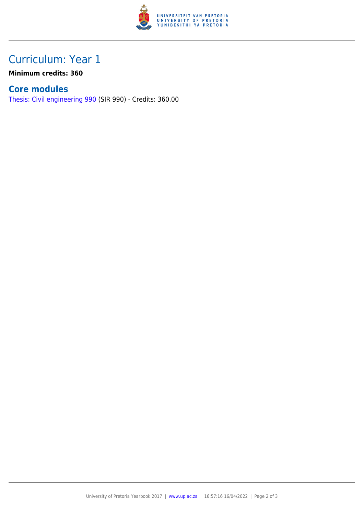

## Curriculum: Year 1

**Minimum credits: 360**

### **Core modules**

[Thesis: Civil engineering 990](https://www.up.ac.za/mechanical-and-aeronautical-engineering/yearbooks/2017/modules/view/SIR 990) (SIR 990) - Credits: 360.00